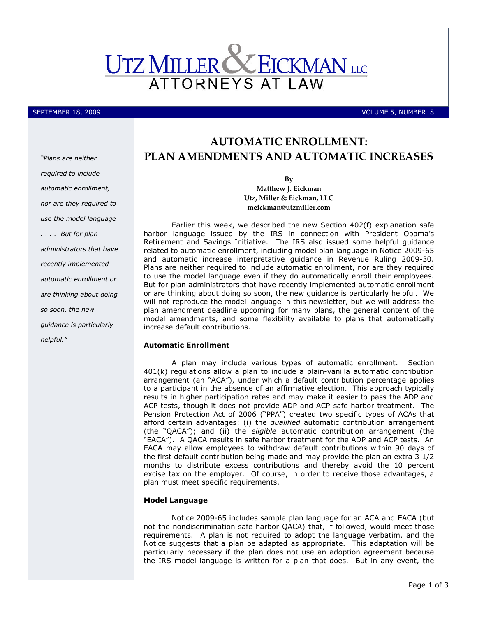

# SEPTEMBER 18, 2009 VOLUME 5, NUMBER 8

"Plans are neither required to include automatic enrollment, nor are they required to use the model language . . . . But for plan administrators that have recently implemented automatic enrollment or are thinking about doing so soon, the new guidance is particularly helpful."

# AUTOMATIC ENROLLMENT: PLAN AMENDMENTS AND AUTOMATIC INCREASES

By Matthew J. Eickman Utz, Miller & Eickman, LLC meickman@utzmiller.com

Earlier this week, we described the new Section 402(f) explanation safe harbor language issued by the IRS in connection with President Obama's Retirement and Savings Initiative. The IRS also issued some helpful guidance related to automatic enrollment, including model plan language in Notice 2009-65 and automatic increase interpretative guidance in Revenue Ruling 2009-30. Plans are neither required to include automatic enrollment, nor are they required to use the model language even if they do automatically enroll their employees. But for plan administrators that have recently implemented automatic enrollment or are thinking about doing so soon, the new guidance is particularly helpful. We will not reproduce the model language in this newsletter, but we will address the plan amendment deadline upcoming for many plans, the general content of the model amendments, and some flexibility available to plans that automatically increase default contributions.

# Automatic Enrollment

A plan may include various types of automatic enrollment. Section 401(k) regulations allow a plan to include a plain-vanilla automatic contribution arrangement (an "ACA"), under which a default contribution percentage applies to a participant in the absence of an affirmative election. This approach typically results in higher participation rates and may make it easier to pass the ADP and ACP tests, though it does not provide ADP and ACP safe harbor treatment. The Pension Protection Act of 2006 ("PPA") created two specific types of ACAs that afford certain advantages: (i) the qualified automatic contribution arrangement (the "QACA"); and (ii) the *eligible* automatic contribution arrangement (the "EACA"). A QACA results in safe harbor treatment for the ADP and ACP tests. An EACA may allow employees to withdraw default contributions within 90 days of the first default contribution being made and may provide the plan an extra 3 1/2 months to distribute excess contributions and thereby avoid the 10 percent excise tax on the employer. Of course, in order to receive those advantages, a plan must meet specific requirements.

# Model Language

Notice 2009-65 includes sample plan language for an ACA and EACA (but not the nondiscrimination safe harbor QACA) that, if followed, would meet those requirements. A plan is not required to adopt the language verbatim, and the Notice suggests that a plan be adapted as appropriate. This adaptation will be particularly necessary if the plan does not use an adoption agreement because the IRS model language is written for a plan that does. But in any event, the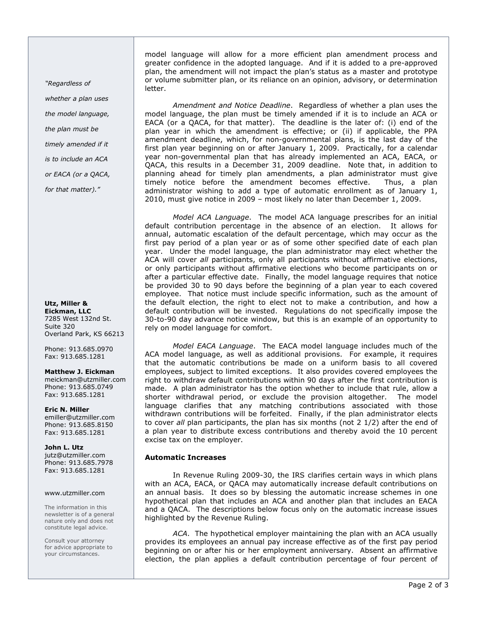"Regardless of whether a plan uses the model language, the plan must be timely amended if it is to include an ACA or EACA (or a QACA, for that matter)."

Utz, Miller & Eickman, LLC 7285 West 132nd St. Suite 320 Overland Park, KS 66213

Phone: 913.685.0970 Fax: 913.685.1281

Matthew J. Eickman meickman@utzmiller.com Phone: 913.685.0749 Fax: 913.685.1281

Eric N. Miller emiller@utzmiller.com Phone: 913.685.8150 Fax: 913.685.1281

John L. Utz jutz@utzmiller.com Phone: 913.685.7978 Fax: 913.685.1281

#### www.utzmiller.com

The information in this newsletter is of a general nature only and does not constitute legal advice.

Consult your attorney for advice appropriate to your circumstances.

model language will allow for a more efficient plan amendment process and greater confidence in the adopted language. And if it is added to a pre-approved plan, the amendment will not impact the plan's status as a master and prototype or volume submitter plan, or its reliance on an opinion, advisory, or determination letter.

Amendment and Notice Deadline. Regardless of whether a plan uses the model language, the plan must be timely amended if it is to include an ACA or EACA (or a QACA, for that matter). The deadline is the later of: (i) end of the plan year in which the amendment is effective; or (ii) if applicable, the PPA amendment deadline, which, for non-governmental plans, is the last day of the first plan year beginning on or after January 1, 2009. Practically, for a calendar year non-governmental plan that has already implemented an ACA, EACA, or QACA, this results in a December 31, 2009 deadline. Note that, in addition to planning ahead for timely plan amendments, a plan administrator must give timely notice before the amendment becomes effective. Thus, a plan administrator wishing to add a type of automatic enrollment as of January 1, 2010, must give notice in 2009 – most likely no later than December 1, 2009.

Model ACA Language. The model ACA language prescribes for an initial default contribution percentage in the absence of an election. It allows for annual, automatic escalation of the default percentage, which may occur as the first pay period of a plan year or as of some other specified date of each plan year. Under the model language, the plan administrator may elect whether the ACA will cover all participants, only all participants without affirmative elections, or only participants without affirmative elections who become participants on or after a particular effective date. Finally, the model language requires that notice be provided 30 to 90 days before the beginning of a plan year to each covered employee. That notice must include specific information, such as the amount of the default election, the right to elect not to make a contribution, and how a default contribution will be invested. Regulations do not specifically impose the 30-to-90 day advance notice window, but this is an example of an opportunity to rely on model language for comfort.

Model EACA Language. The EACA model language includes much of the ACA model language, as well as additional provisions. For example, it requires that the automatic contributions be made on a uniform basis to all covered employees, subject to limited exceptions. It also provides covered employees the right to withdraw default contributions within 90 days after the first contribution is made. A plan administrator has the option whether to include that rule, allow a shorter withdrawal period, or exclude the provision altogether. The model language clarifies that any matching contributions associated with those withdrawn contributions will be forfeited. Finally, if the plan administrator elects to cover all plan participants, the plan has six months (not  $2\frac{1}{2}$ ) after the end of a plan year to distribute excess contributions and thereby avoid the 10 percent excise tax on the employer.

### Automatic Increases

In Revenue Ruling 2009-30, the IRS clarifies certain ways in which plans with an ACA, EACA, or QACA may automatically increase default contributions on an annual basis. It does so by blessing the automatic increase schemes in one hypothetical plan that includes an ACA and another plan that includes an EACA and a QACA. The descriptions below focus only on the automatic increase issues highlighted by the Revenue Ruling.

ACA. The hypothetical employer maintaining the plan with an ACA usually provides its employees an annual pay increase effective as of the first pay period beginning on or after his or her employment anniversary. Absent an affirmative election, the plan applies a default contribution percentage of four percent of